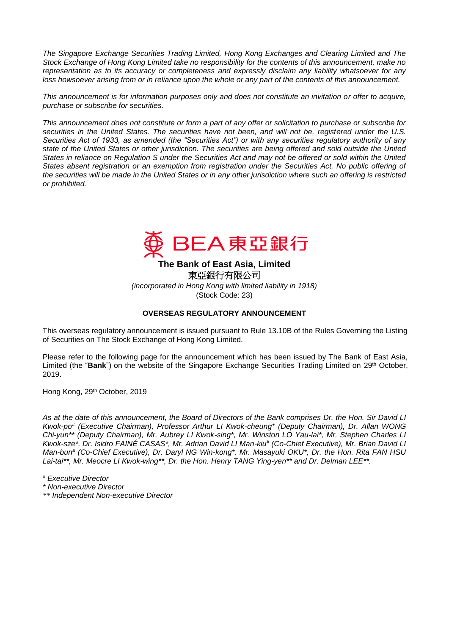*The Singapore Exchange Securities Trading Limited, Hong Kong Exchanges and Clearing Limited and The Stock Exchange of Hong Kong Limited take no responsibility for the contents of this announcement, make no representation as to its accuracy or completeness and expressly disclaim any liability whatsoever for any loss howsoever arising from or in reliance upon the whole or any part of the contents of this announcement.*

*This announcement is for information purposes only and does not constitute an invitation or offer to acquire, purchase or subscribe for securities.*

*This announcement does not constitute or form a part of any offer or solicitation to purchase or subscribe for securities in the United States. The securities have not been, and will not be, registered under the U.S. Securities Act of 1933, as amended (the "Securities Act") or with any securities regulatory authority of any state of the United States or other jurisdiction. The securities are being offered and sold outside the United States in reliance on Regulation S under the Securities Act and may not be offered or sold within the United States absent registration or an exemption from registration under the Securities Act. No public offering of the securities will be made in the United States or in any other jurisdiction where such an offering is restricted or prohibited.*



## **The Bank of East Asia, Limited**  東亞銀行有限公司

*(incorporated in Hong Kong with limited liability in 1918)* (Stock Code: 23)

## **OVERSEAS REGULATORY ANNOUNCEMENT**

This overseas regulatory announcement is issued pursuant to Rule 13.10B of the Rules Governing the Listing of Securities on The Stock Exchange of Hong Kong Limited.

Please refer to the following page for the announcement which has been issued by The Bank of East Asia, Limited (the "**Bank**") on the website of the Singapore Exchange Securities Trading Limited on 29<sup>th</sup> October, 2019.

Hong Kong, 29<sup>th</sup> October, 2019

*As at the date of this announcement, the Board of Directors of the Bank comprises Dr. the Hon. Sir David LI Kwok-po# (Executive Chairman), Professor Arthur LI Kwok-cheung\* (Deputy Chairman), Dr. Allan WONG Chi-yun\*\* (Deputy Chairman), Mr. Aubrey LI Kwok-sing\*, Mr. Winston LO Yau-lai\*, Mr. Stephen Charles LI Kwok-sze\*, Dr. Isidro FAINÉ CASAS\*, Mr. Adrian David LI Man-kiu# (Co-Chief Executive), Mr. Brian David LI Man-bun# (Co-Chief Executive), Dr. Daryl NG Win-kong\*, Mr. Masayuki OKU\*, Dr. the Hon. Rita FAN HSU Lai-tai\*\*, Mr. Meocre LI Kwok-wing\*\*, Dr. the Hon. Henry TANG Ying-yen\*\* and Dr. Delman LEE\*\*.*

*# Executive Director* 

*\* Non-executive Director* 

*\*\* Independent Non-executive Director*